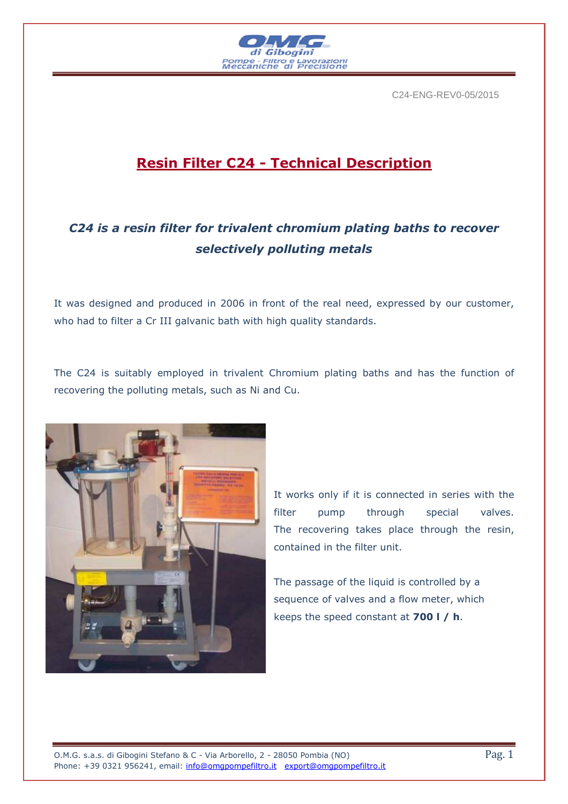

C24-ENG-REV0-05/2015

# **Resin Filter C24 - Technical Description**

## *C24 is a resin filter for trivalent chromium plating baths to recover selectively polluting metals*

It was designed and produced in 2006 in front of the real need, expressed by our customer, who had to filter a Cr III galvanic bath with high quality standards.

The C24 is suitably employed in trivalent Chromium plating baths and has the function of recovering the polluting metals, such as Ni and Cu.



It works only if it is connected in series with the filter pump through special valves. The recovering takes place through the resin, contained in the filter unit.

The passage of the liquid is controlled by a sequence of valves and a flow meter, which keeps the speed constant at **700 l / h**.